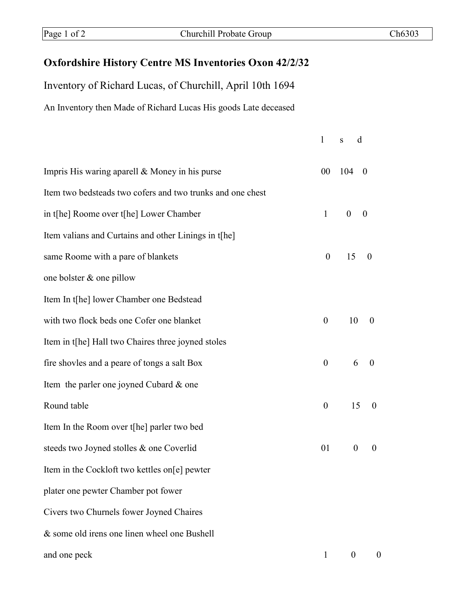## **Oxfordshire History Centre MS Inventories Oxon 42/2/32**

Inventory of Richard Lucas, of Churchill, April 10th 1694 An Inventory then Made of Richard Lucas His goods Late deceased

|                                                            | $\mathbf{1}$     | $\mathbf{s}$<br>d                    |   |
|------------------------------------------------------------|------------------|--------------------------------------|---|
| Impris His waring aparell & Money in his purse             | $00\,$           | 104<br>$\boldsymbol{0}$              |   |
| Item two bedsteads two cofers and two trunks and one chest |                  |                                      |   |
| in t[he] Roome over t[he] Lower Chamber                    | $\mathbf{1}$     | $\boldsymbol{0}$<br>$\boldsymbol{0}$ |   |
| Item valians and Curtains and other Linings in t[he]       |                  |                                      |   |
| same Roome with a pare of blankets                         | $\boldsymbol{0}$ | 15<br>$\theta$                       |   |
| one bolster & one pillow                                   |                  |                                      |   |
| Item In t[he] lower Chamber one Bedstead                   |                  |                                      |   |
| with two flock beds one Cofer one blanket                  | $\boldsymbol{0}$ | 10<br>$\theta$                       |   |
| Item in t[he] Hall two Chaires three joyned stoles         |                  |                                      |   |
| fire shovles and a peare of tongs a salt Box               | $\boldsymbol{0}$ | 6<br>$\theta$                        |   |
| Item the parler one joyned Cubard & one                    |                  |                                      |   |
| Round table                                                | $\boldsymbol{0}$ | 15<br>$\theta$                       |   |
| Item In the Room over the parler two bed                   |                  |                                      |   |
| steeds two Joyned stolles & one Coverlid                   | 01               | $\boldsymbol{0}$<br>$\overline{0}$   |   |
| Item in the Cockloft two kettles on[e] pewter              |                  |                                      |   |
| plater one pewter Chamber pot fower                        |                  |                                      |   |
| Civers two Churnels fower Joyned Chaires                   |                  |                                      |   |
| & some old irens one linen wheel one Bushell               |                  |                                      |   |
| and one peck                                               | $\mathbf{1}$     | $\mathbf{0}$                         | 0 |